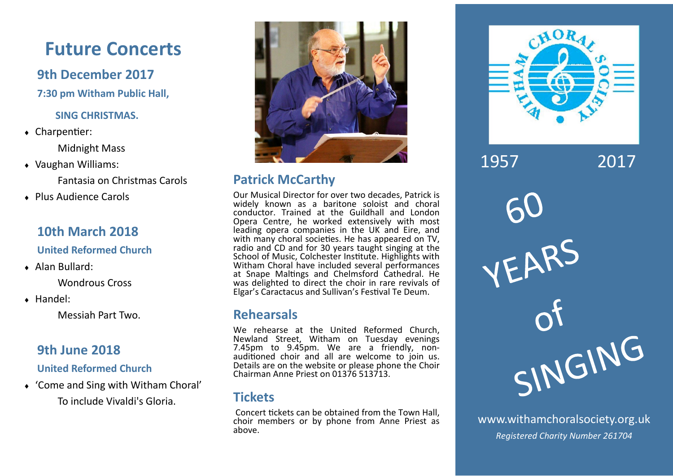## **Future Concerts**

## **9th December 2017**

**7:30 pm Witham Public Hall,** 

### **SING CHRISTMAS.**

 $\triangleleft$  Charpentier:

Midnight Mass

Vaughan Williams:

Fantasia on Christmas Carols

◆ Plus Audience Carols

## **10th March 2018**

**United Reformed Church**

Alan Bullard:

Wondrous Cross

Handel:

Messiah Part Two.

## **9th June 2018**

**United Reformed Church**

 'Come and Sing with Witham Choral' To include Vivaldi's Gloria.



## **Patrick McCarthy**

Our Musical Director for over two decades, Patrick is widely known as a baritone soloist and choral conductor. Trained at the Guildhall and London Opera Centre, he worked extensively with most leading opera companies in the UK and Eire, and with many choral societies. He has appeared on TV, radio and CD and for 30 years taught singing at the School of Music, Colchester Institute. Highlights with Witham Choral have included several performances at Snape Maltings and Chelmsford Cathedral. He was delighted to direct the choir in rare revivals of Elgar's Caractacus and Sullivan's Festival Te Deum.

### **Rehearsals**

We rehearse at the United Reformed Church, Newland Street, Witham on Tuesday evenings<br>7.45pm to 9.45pm. We are a friendly, nonauditioned choir and all are welcome to join us. Details are on the website or please phone the Choir Chairman Anne Priest on 01376 513713.

## **Tickets**

Concert tickets can be obtained from the Town Hall. choir members or by phone from Anne Priest as above.



www.withamchoralsociety.org.uk *Registered Charity Number 261704*